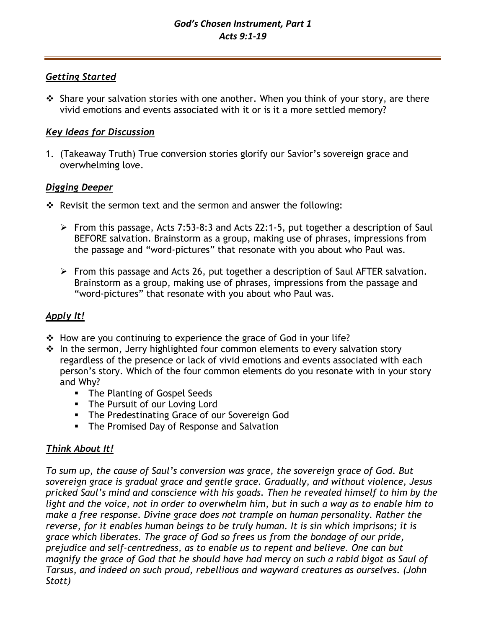# *Getting Started*

❖ Share your salvation stories with one another. When you think of your story, are there vivid emotions and events associated with it or is it a more settled memory?

# *Key Ideas for Discussion*

1. (Takeaway Truth) True conversion stories glorify our Savior's sovereign grace and overwhelming love.

# *Digging Deeper*

- ❖ Revisit the sermon text and the sermon and answer the following:
	- ➢ From this passage, Acts 7:53-8:3 and Acts 22:1-5, put together a description of Saul BEFORE salvation. Brainstorm as a group, making use of phrases, impressions from the passage and "word-pictures" that resonate with you about who Paul was.
	- ➢ From this passage and Acts 26, put together a description of Saul AFTER salvation. Brainstorm as a group, making use of phrases, impressions from the passage and "word-pictures" that resonate with you about who Paul was.

# *Apply It!*

- $\div$  How are you continuing to experience the grace of God in your life?
- ❖ In the sermon, Jerry highlighted four common elements to every salvation story regardless of the presence or lack of vivid emotions and events associated with each person's story. Which of the four common elements do you resonate with in your story and Why?
	- The Planting of Gospel Seeds
	- **·** The Pursuit of our Loving Lord
	- **The Predestinating Grace of our Sovereign God**
	- **The Promised Day of Response and Salvation**

# *Think About It!*

*To sum up, the cause of Saul's conversion was grace, the sovereign grace of God. But sovereign grace is gradual grace and gentle grace. Gradually, and without violence, Jesus pricked Saul's mind and conscience with his goads. Then he revealed himself to him by the light and the voice, not in order to overwhelm him, but in such a way as to enable him to make a free response. Divine grace does not trample on human personality. Rather the reverse, for it enables human beings to be truly human. It is sin which imprisons; it is grace which liberates. The grace of God so frees us from the bondage of our pride, prejudice and self-centredness, as to enable us to repent and believe. One can but magnify the grace of God that he should have had mercy on such a rabid bigot as Saul of Tarsus, and indeed on such proud, rebellious and wayward creatures as ourselves. (John Stott)*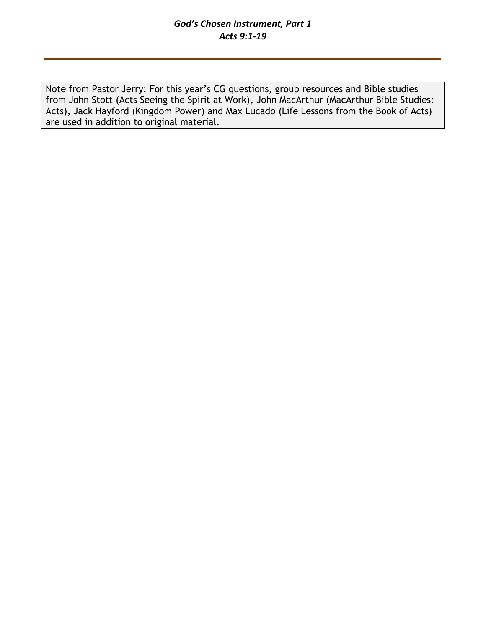## *God's Chosen Instrument, Part 1 Acts 9:1-19*

Note from Pastor Jerry: For this year's CG questions, group resources and Bible studies from John Stott (Acts Seeing the Spirit at Work), John MacArthur (MacArthur Bible Studies: Acts), Jack Hayford (Kingdom Power) and Max Lucado (Life Lessons from the Book of Acts) are used in addition to original material.